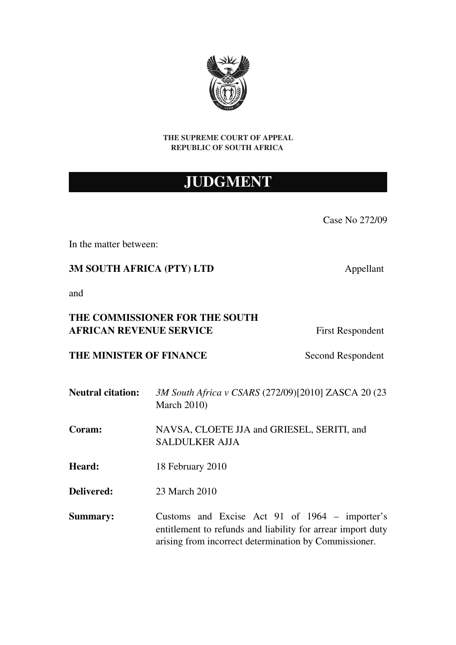

#### THE SUPREME COURT OF APPEAL REPUBLIC OF SOUTH AFRICA

# JUDGMENT

Case No 272/09

In the matter between:

3M SOUTH AFRICA (PTY) LTD Appellant

and

## THE COMMISSIONER FOR THE SOUTH AFRICAN REVENUE SERVICE<br>
First Respondent

THE MINISTER OF FINANCE Second Respondent

- Neutral citation: *3M South Africa v CSARS* (272/09)[2010] ZASCA 20 (23 March 2010)
- Coram: NAVSA, CLOETE JJA and GRIESEL, SERITI, and SALDULKER AJJA
- Heard: 18 February 2010
- Delivered: 23 March 2010
- Summary: Customs and Excise Act 91 of 1964 importer's entitlement to refunds and liability for arrear import duty arising from incorrect determination by Commissioner.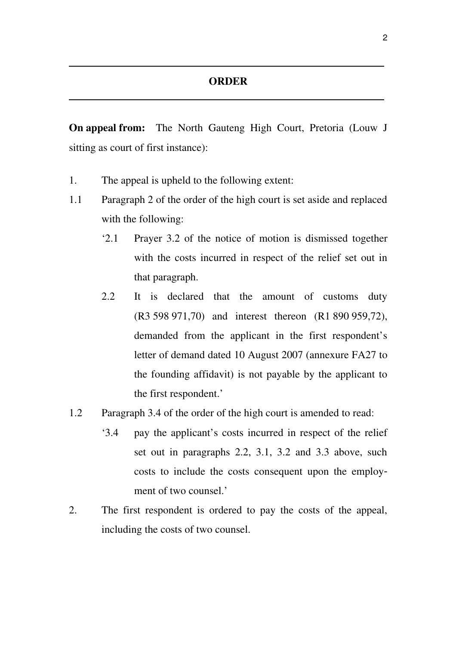<u> 1989 - Johann Barn, amerikan besteman besteman besteman besteman besteman besteman besteman besteman bestema</u>

**On appeal from:** The North Gauteng High Court, Pretoria (Louw J) sitting as court of first instance):

- 1. The appeal is upheld to the following extent:
- 1.1 Paragraph 2 of the order of the high court is set aside and replaced with the following:
	- '2.1 Prayer 3.2 of the notice of motion is dismissed together with the costs incurred in respect of the relief set out in that paragraph.
	- 2.2 It is declared that the amount of customs duty (R3 598 971,70) and interest thereon (R1 890 959,72), demanded from the applicant in the first respondent's letter of demand dated 10 August 2007 (annexure FA27 to the founding affidavit) is not payable by the applicant to the first respondent.'
- 1.2 Paragraph 3.4 of the order of the high court is amended to read:
	- '3.4 pay the applicant's costs incurred in respect of the relief set out in paragraphs 2.2, 3.1, 3.2 and 3.3 above, such costs to include the costs consequent upon the employment of two counsel.'
- 2. The first respondent is ordered to pay the costs of the appeal, including the costs of two counsel.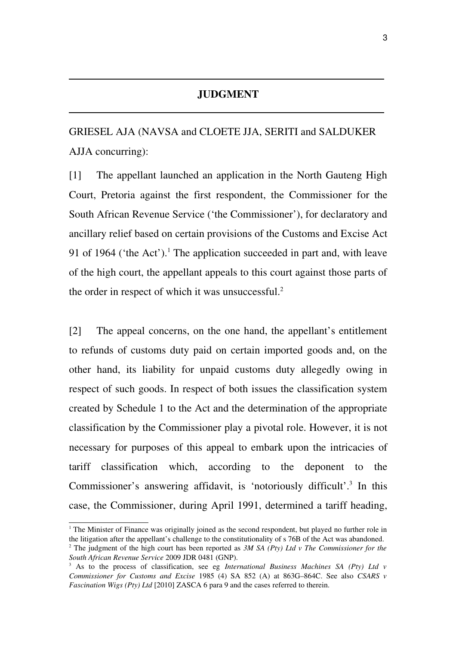## **JUDGMENT**

<u> 1989 - Johann Harry Harry Harry Harry Harry Harry Harry Harry Harry Harry Harry Harry Harry Harry Harry Harry</u>

GRIESEL AJA (NAVSA and CLOETE JJA, SERITI and SALDUKER AJJA concurring):

[1] The appellant launched an application in the North Gauteng High Court, Pretoria against the first respondent, the Commissioner for the South African Revenue Service ('the Commissioner'), for declaratory and ancillary relief based on certain provisions of the Customs and Excise Act 9[1](#page-2-0) of 1964 ('the Act').<sup>1</sup> The application succeeded in part and, with leave of the high court, the appellant appeals to this court against those parts of the order in respect of which it was unsuccessful.<sup>[2](#page-2-1)</sup>

[2] The appeal concerns, on the one hand, the appellant's entitlement to refunds of customs duty paid on certain imported goods and, on the other hand, its liability for unpaid customs duty allegedly owing in respect of such goods. In respect of both issues the classification system created by Schedule 1 to the Act and the determination of the appropriate classification by the Commissioner play a pivotal role. However, it is not necessary for purposes of this appeal to embark upon the intricacies of tariff classification which, according to the deponent to the Commissioner's answering affidavit, is 'notoriously difficult'.<sup>[3](#page-2-2)</sup> In this case, the Commissioner, during April 1991, determined a tariff heading,

<span id="page-2-1"></span><span id="page-2-0"></span><sup>&</sup>lt;sup>1</sup> The Minister of Finance was originally joined as the second respondent, but played no further role in the litigation after the appellant's challenge to the constitutionality of s 76B of the Act was abandoned. 2 The judgment of the high court has been reported as *3M SA (Pty) Ltd v The Commissioner for the South African Revenue Service* 2009 JDR 0481 (GNP).

<span id="page-2-2"></span><sup>&</sup>lt;sup>3</sup> As to the process of classification, see eg International Business Machines SA (Pty) Ltd v *Commissioner for Customs and Excise 1985 (4) SA 852 (A) at 863G–864C. See also CSARS v Fascination Wigs (Pty) Ltd* [2010] ZASCA 6 para 9 and the cases referred to therein.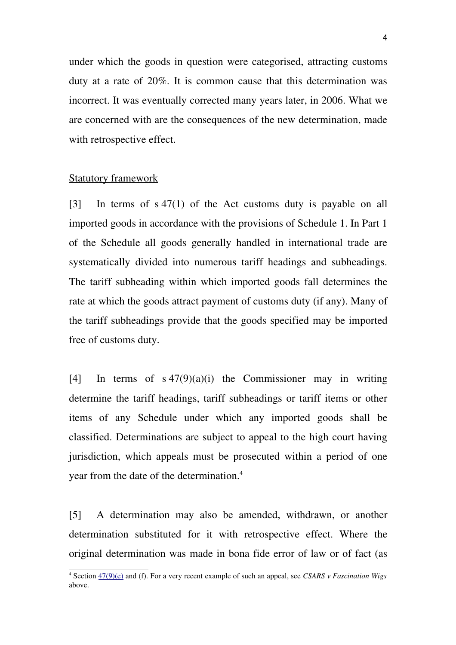under which the goods in question were categorised, attracting customs duty at a rate of 20%. It is common cause that this determination was incorrect. It was eventually corrected many years later, in 2006. What we are concerned with are the consequences of the new determination, made with retrospective effect.

## Statutory framework

 $[3]$  In terms of  $s\ 47(1)$  of the Act customs duty is payable on all imported goods in accordance with the provisions of Schedule 1. In Part 1 of the Schedule all goods generally handled in international trade are systematically divided into numerous tariff headings and subheadings. The tariff subheading within which imported goods fall determines the rate at which the goods attract payment of customs duty (if any). Many of the tariff subheadings provide that the goods specified may be imported free of customs duty.

[4] In terms of  $s \frac{47(9)(a)(i)}{2}$  the Commissioner may in writing determine the tariff headings, tariff subheadings or tariff items or other items of any Schedule under which any imported goods shall be classified. Determinations are subject to appeal to the high court having jurisdiction, which appeals must be prosecuted within a period of one year from the date of the determination.[4](#page-3-0)

[5] A determination may also be amended, withdrawn, or another determination substituted for it with retrospective effect. Where the original determination was made in bona fide error of law or of fact (as

<span id="page-3-0"></span><sup>4</sup> Section [47\(9\)\(e\)](http://dojcdnoc-ln1/nxt/gateway.dll/jilc/kilc/egqg/ttqg/utqg/3mjh#16) and (f). For a very recent example of such an appeal, see *CSARS v Fascination Wigs* above.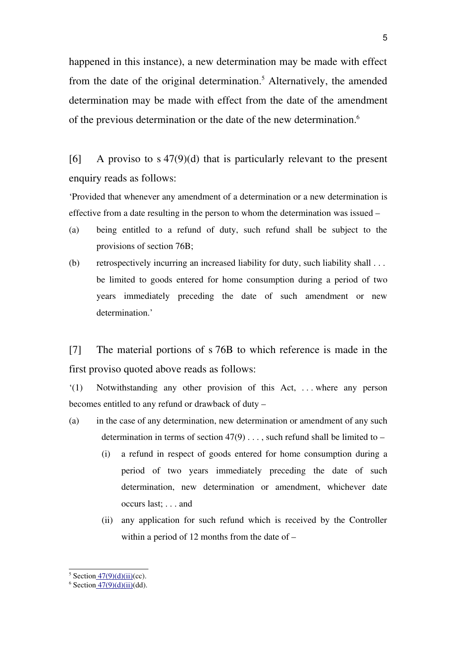happened in this instance), a new determination may be made with effect from the date of the original determination.<sup>[5](#page-4-0)</sup> Alternatively, the amended determination may be made with effect from the date of the amendment of the previous determination or the date of the new determination.[6](#page-4-1)

[6] A proviso to s  $47(9)(d)$  that is particularly relevant to the present enquiry reads as follows:

'Provided that whenever any amendment of a determination or a new determination is effective from a date resulting in the person to whom the determination was issued –

- (a) being entitled to a refund of duty, such refund shall be subject to the provisions of section 76B;
- (b) retrospectively incurring an increased liability for duty, such liability shall . . . be limited to goods entered for home consumption during a period of two years immediately preceding the date of such amendment or new determination.'

[7] The material portions of s 76B to which reference is made in the first proviso quoted above reads as follows:

 $(1)$  Notwithstanding any other provision of this Act, ... where any person becomes entitled to any refund or drawback of duty –

- (a) in the case of any determination, new determination or amendment of any such determination in terms of section  $47(9)$ ..., such refund shall be limited to –
	- (i) a refund in respect of goods entered for home consumption during a period of two years immediately preceding the date of such determination, new determination or amendment, whichever date occurs last; . . . and
	- (ii) any application for such refund which is received by the Controller within a period of 12 months from the date of –

<span id="page-4-0"></span><sup>&</sup>lt;sup>5</sup> Section  $47(9)(d)(ii)(cc)$ .

<span id="page-4-1"></span><sup>&</sup>lt;sup>6</sup> Section  $47(9)(d)(ii)(dd)$ .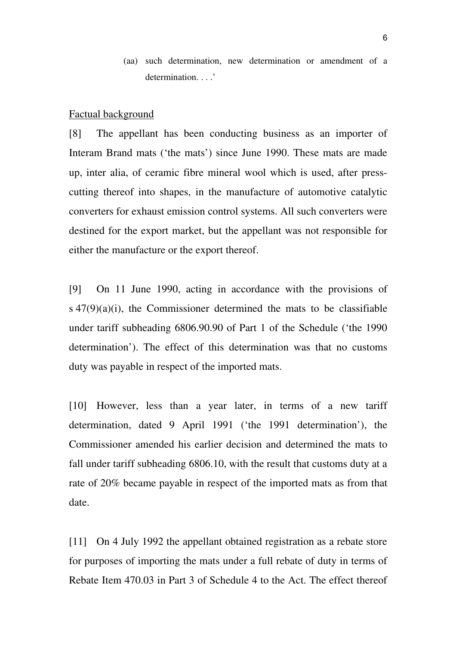(aa) such determination, new determination or amendment of a determination...'

#### Factual background

[8] The appellant has been conducting business as an importer of Interam Brand mats ('the mats') since June 1990. These mats are made up, inter alia, of ceramic fibre mineral wool which is used, after presscutting thereof into shapes, in the manufacture of automotive catalytic converters for exhaust emission control systems. All such converters were destined for the export market, but the appellant was not responsible for either the manufacture or the export thereof.

[9] On 11 June 1990, acting in accordance with the provisions of  $s$  47(9)(a)(i), the Commissioner determined the mats to be classifiable under tariff subheading 6806.90.90 of Part 1 of the Schedule ('the 1990 determination'). The effect of this determination was that no customs duty was payable in respect of the imported mats.

[10] However, less than a year later, in terms of a new tariff determination, dated 9 April 1991 ('the 1991 determination'), the Commissioner amended his earlier decision and determined the mats to fall under tariff subheading 6806.10, with the result that customs duty at a rate of 20% became payable in respect of the imported mats as from that date.

[11] On 4 July 1992 the appellant obtained registration as a rebate store for purposes of importing the mats under a full rebate of duty in terms of Rebate Item 470.03 in Part 3 of Schedule 4 to the Act. The effect thereof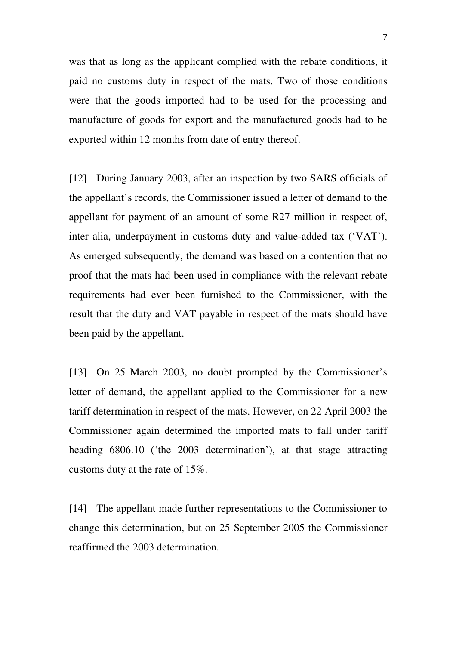was that as long as the applicant complied with the rebate conditions, it paid no customs duty in respect of the mats. Two of those conditions were that the goods imported had to be used for the processing and manufacture of goods for export and the manufactured goods had to be exported within 12 months from date of entry thereof.

[12] During January 2003, after an inspection by two SARS officials of the appellant's records, the Commissioner issued a letter of demand to the appellant for payment of an amount of some R27 million in respect of, inter alia, underpayment in customs duty and value-added tax ('VAT'). As emerged subsequently, the demand was based on a contention that no proof that the mats had been used in compliance with the relevant rebate requirements had ever been furnished to the Commissioner, with the result that the duty and VAT payable in respect of the mats should have been paid by the appellant.

[13] On 25 March 2003, no doubt prompted by the Commissioner's letter of demand, the appellant applied to the Commissioner for a new tariff determination in respect of the mats. However, on 22 April 2003 the Commissioner again determined the imported mats to fall under tariff heading 6806.10 ('the 2003 determination'), at that stage attracting customs duty at the rate of 15%.

[14] The appellant made further representations to the Commissioner to change this determination, but on 25 September 2005 the Commissioner reaffirmed the 2003 determination.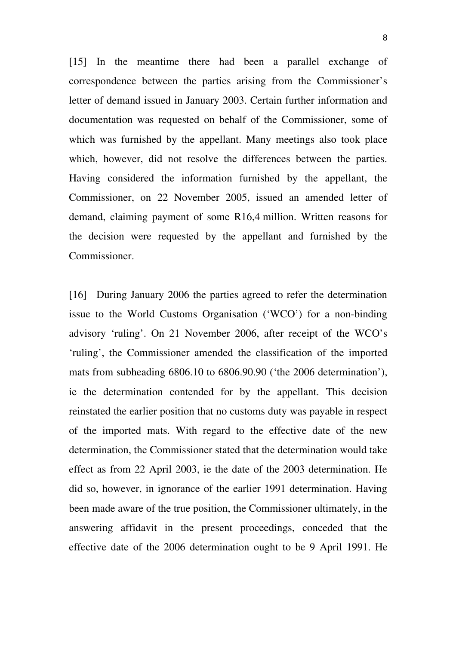[15] In the meantime there had been a parallel exchange of correspondence between the parties arising from the Commissioner's letter of demand issued in January 2003. Certain further information and documentation was requested on behalf of the Commissioner, some of which was furnished by the appellant. Many meetings also took place which, however, did not resolve the differences between the parties. Having considered the information furnished by the appellant, the Commissioner, on 22 November 2005, issued an amended letter of demand, claiming payment of some R16,4 million. Written reasons for the decision were requested by the appellant and furnished by the Commissioner.

[16] During January 2006 the parties agreed to refer the determination issue to the World Customs Organisation ('WCO') for a non-binding advisory 'ruling'. On 21 November 2006, after receipt of the WCO's 'ruling', the Commissioner amended the classification of the imported mats from subheading 6806.10 to 6806.90.90 ('the 2006 determination'), ie the determination contended for by the appellant. This decision reinstated the earlier position that no customs duty was payable in respect of the imported mats. With regard to the effective date of the new determination, the Commissioner stated that the determination would take effect as from 22 April 2003, ie the date of the 2003 determination. He did so, however, in ignorance of the earlier 1991 determination. Having been made aware of the true position, the Commissioner ultimately, in the answering affidavit in the present proceedings, conceded that the effective date of the 2006 determination ought to be 9 April 1991. He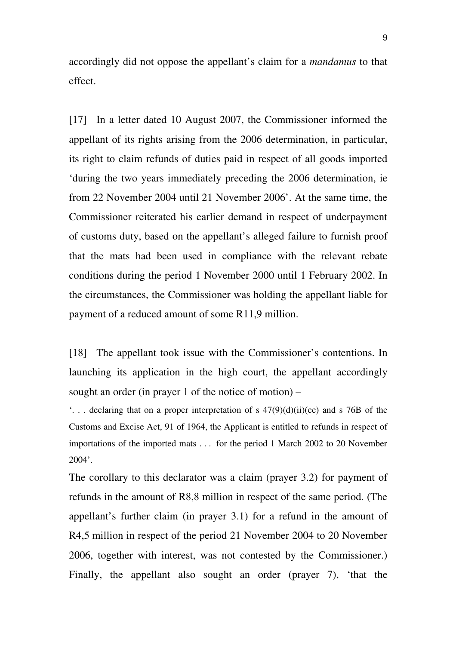accordingly did not oppose the appellant's claim for a *mandamus* to that effect.

[17] In a letter dated 10 August 2007, the Commissioner informed the appellant of its rights arising from the 2006 determination, in particular, its right to claim refunds of duties paid in respect of all goods imported 'during the two years immediately preceding the 2006 determination, ie from 22 November 2004 until 21 November 2006'. At the same time, the Commissioner reiterated his earlier demand in respect of underpayment of customs duty, based on the appellant's alleged failure to furnish proof that the mats had been used in compliance with the relevant rebate conditions during the period 1 November 2000 until 1 February 2002. In the circumstances, the Commissioner was holding the appellant liable for payment of a reduced amount of some R11,9 million.

[18] The appellant took issue with the Commissioner's contentions. In launching its application in the high court, the appellant accordingly sought an order (in prayer 1 of the notice of motion) –

 $\ldots$  declaring that on a proper interpretation of s  $47(9)(d)(ii)(cc)$  and s 76B of the Customs and Excise Act, 91 of 1964, the Applicant is entitled to refunds in respect of importations of the imported mats . . . for the period 1 March 2002 to 20 November 2004'.

The corollary to this declarator was a claim (prayer 3.2) for payment of refunds in the amount of R8,8 million in respect of the same period. (The appellant's further claim (in prayer 3.1) for a refund in the amount of R4,5 million in respect of the period 21 November 2004 to 20 November 2006, together with interest, was not contested by the Commissioner.) Finally, the appellant also sought an order (prayer 7), 'that the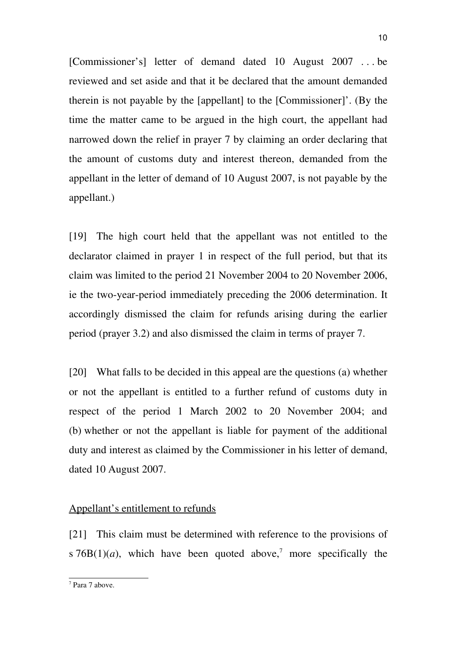[Commissioner's] letter of demand dated 10 August 2007 ... be reviewed and set aside and that it be declared that the amount demanded therein is not payable by the [appellant] to the [Commissioner]'. (By the time the matter came to be argued in the high court, the appellant had narrowed down the relief in prayer 7 by claiming an order declaring that the amount of customs duty and interest thereon, demanded from the appellant in the letter of demand of 10 August 2007, is not payable by the appellant.)

[19] The high court held that the appellant was not entitled to the declarator claimed in prayer 1 in respect of the full period, but that its claim was limited to the period 21 November 2004 to 20 November 2006, ie the two-year-period immediately preceding the 2006 determination. It accordingly dismissed the claim for refunds arising during the earlier period (prayer 3.2) and also dismissed the claim in terms of prayer 7.

[20] What falls to be decided in this appeal are the questions (a) whether or not the appellant is entitled to a further refund of customs duty in respect of the period 1 March 2002 to 20 November 2004; and (b) whether or not the appellant is liable for payment of the additional duty and interest as claimed by the Commissioner in his letter of demand, dated 10 August 2007.

## Appellant's entitlement to refunds

[21] This claim must be determined with reference to the provisions of s  $76B(1)(a)$  $76B(1)(a)$ , which have been quoted above,<sup>7</sup> more specifically the

<span id="page-9-0"></span><sup>7</sup> Para 7 above.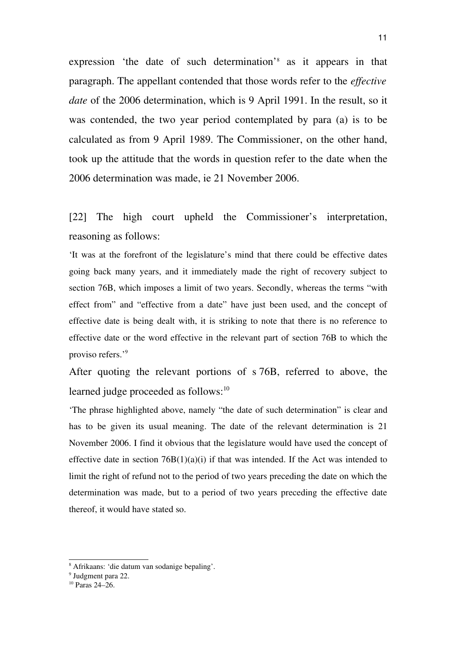expression 'the date of such determination'<sup>[8](#page-10-0)</sup> as it appears in that paragraph. The appellant contended that those words refer to the *effective date* of the 2006 determination, which is 9 April 1991. In the result, so it was contended, the two year period contemplated by para (a) is to be calculated as from 9 April 1989. The Commissioner, on the other hand, took up the attitude that the words in question refer to the date when the 2006 determination was made, ie 21 November 2006.

## [22] The high court upheld the Commissioner's interpretation, reasoning as follows:

'It was at the forefront of the legislature's mind that there could be effective dates going back many years, and it immediately made the right of recovery subject to section 76B, which imposes a limit of two years. Secondly, whereas the terms "with effect from" and "effective from a date" have just been used, and the concept of effective date is being dealt with, it is striking to note that there is no reference to effective date or the word effective in the relevant part of section 76B to which the proviso refers.'[9](#page-10-1)

After quoting the relevant portions of s 76B, referred to above, the learned judge proceeded as follows:<sup>[10](#page-10-2)</sup>

'The phrase highlighted above, namely "the date of such determination" is clear and has to be given its usual meaning. The date of the relevant determination is 21 November 2006. I find it obvious that the legislature would have used the concept of effective date in section  $76B(1)(a)(i)$  if that was intended. If the Act was intended to limit the right of refund not to the period of two years preceding the date on which the determination was made, but to a period of two years preceding the effective date thereof, it would have stated so.

<span id="page-10-0"></span><sup>8</sup> Afrikaans: 'die datum van sodanige bepaling'.

<span id="page-10-1"></span><sup>9</sup> Judgment para 22.

<span id="page-10-2"></span><sup>10</sup> Paras 24–26.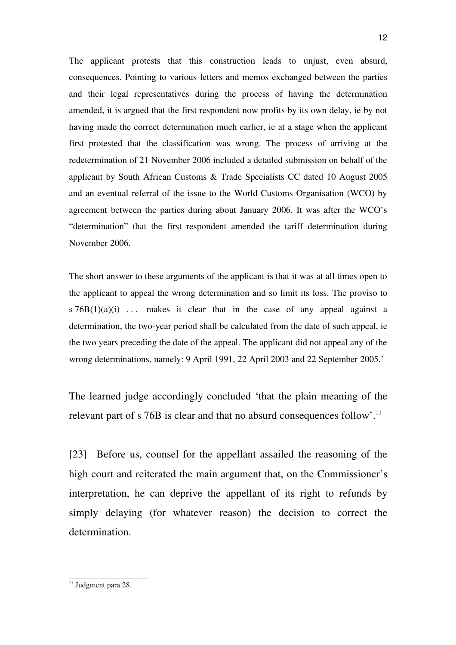The applicant protests that this construction leads to unjust, even absurd, consequences. Pointing to various letters and memos exchanged between the parties and their legal representatives during the process of having the determination amended, it is argued that the first respondent now profits by its own delay, ie by not having made the correct determination much earlier, ie at a stage when the applicant first protested that the classification was wrong. The process of arriving at the redetermination of 21 November 2006 included a detailed submission on behalf of the applicant by South African Customs & Trade Specialists CC dated 10 August 2005 and an eventual referral of the issue to the World Customs Organisation (WCO) by agreement between the parties during about January 2006. It was after the WCO's "determination" that the first respondent amended the tariff determination during November 2006.

The short answer to these arguments of the applicant is that it was at all times open to the applicant to appeal the wrong determination and so limit its loss. The proviso to  $s \, 76B(1)(a)(i)$  ... makes it clear that in the case of any appeal against a determination, the two-year period shall be calculated from the date of such appeal, ie the two years preceding the date of the appeal. The applicant did not appeal any of the wrong determinations, namely: 9 April 1991, 22 April 2003 and 22 September 2005.'

The learned judge accordingly concluded 'that the plain meaning of the relevant part of s 76B is clear and that no absurd consequences follow'.<sup>[11](#page-11-0)</sup>

[23] Before us, counsel for the appellant assailed the reasoning of the high court and reiterated the main argument that, on the Commissioner's interpretation, he can deprive the appellant of its right to refunds by simply delaying (for whatever reason) the decision to correct the determination.

<span id="page-11-0"></span><sup>&</sup>lt;sup>11</sup> Judgment para 28.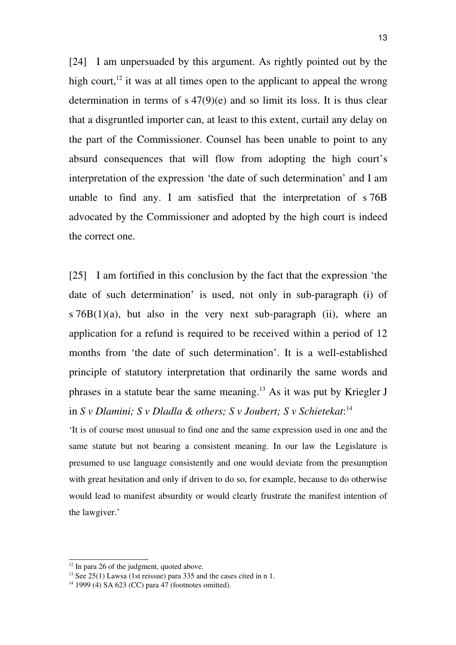[24] I am unpersuaded by this argument. As rightly pointed out by the high court,  $12$  it was at all times open to the applicant to appeal the wrong determination in terms of s 47(9)(e) and so limit its loss. It is thus clear that a disgruntled importer can, at least to this extent, curtail any delay on the part of the Commissioner. Counsel has been unable to point to any absurd consequences that will flow from adopting the high court's interpretation of the expression 'the date of such determination' and I am unable to find any. I am satisfied that the interpretation of  $s$  76B advocated by the Commissioner and adopted by the high court is indeed the correct one.

[25] I am fortified in this conclusion by the fact that the expression 'the date of such determination' is used, not only in sub-paragraph (i) of s  $76B(1)(a)$ , but also in the very next sub-paragraph (ii), where an application for a refund is required to be received within a period of 12 months from 'the date of such determination'. It is a well-established principle of statutory interpretation that ordinarily the same words and phrases in a statute bear the same meaning.[13](#page-12-1) As it was put by Kriegler J in *S v Dlamini; S v Dladla & others; S v Joubert; S v Schietekat*: [14](#page-12-2)

'It is of course most unusual to find one and the same expression used in one and the same statute but not bearing a consistent meaning. In our law the Legislature is presumed to use language consistently and one would deviate from the presumption with great hesitation and only if driven to do so, for example, because to do otherwise would lead to manifest absurdity or would clearly frustrate the manifest intention of the lawgiver.'

<span id="page-12-0"></span> $12$  In para 26 of the judgment, quoted above.

<span id="page-12-1"></span><sup>&</sup>lt;sup>13</sup> See 25(1) Lawsa (1st reissue) para 335 and the cases cited in n 1.

<span id="page-12-2"></span> $14$  1999 (4) SA 623 (CC) para 47 (footnotes omitted).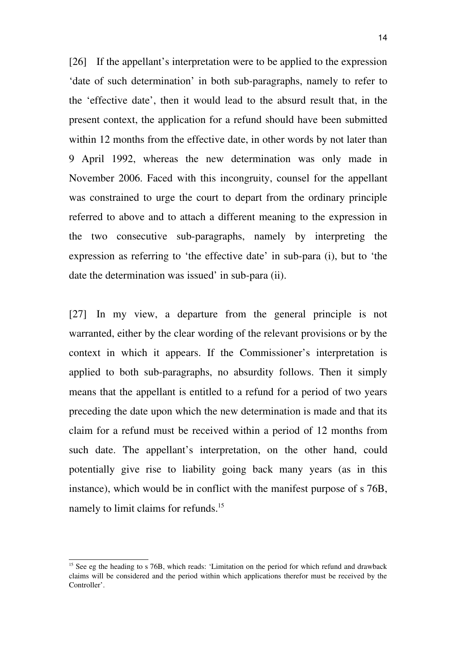[26] If the appellant's interpretation were to be applied to the expression 'date of such determination' in both sub-paragraphs, namely to refer to the 'effective date', then it would lead to the absurd result that, in the present context, the application for a refund should have been submitted within 12 months from the effective date, in other words by not later than 9 April 1992, whereas the new determination was only made in November 2006. Faced with this incongruity, counsel for the appellant was constrained to urge the court to depart from the ordinary principle referred to above and to attach a different meaning to the expression in the two consecutive sub-paragraphs, namely by interpreting the expression as referring to 'the effective date' in sub-para (i), but to 'the date the determination was issued' in sub-para (ii).

[27] In my view, a departure from the general principle is not warranted, either by the clear wording of the relevant provisions or by the context in which it appears. If the Commissioner's interpretation is applied to both sub-paragraphs, no absurdity follows. Then it simply means that the appellant is entitled to a refund for a period of two years preceding the date upon which the new determination is made and that its claim for a refund must be received within a period of 12 months from such date. The appellant's interpretation, on the other hand, could potentially give rise to liability going back many years (as in this instance), which would be in conflict with the manifest purpose of s 76B, namely to limit claims for refunds.<sup>[15](#page-13-0)</sup>

<span id="page-13-0"></span><sup>&</sup>lt;sup>15</sup> See eg the heading to s 76B, which reads: 'Limitation on the period for which refund and drawback claims will be considered and the period within which applications therefor must be received by the Controller'.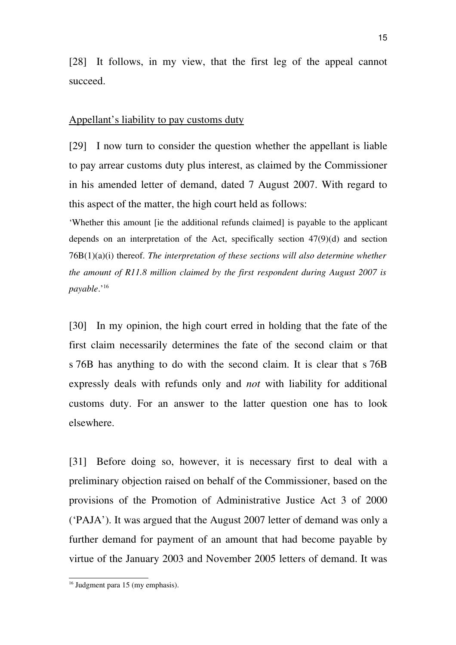[28] It follows, in my view, that the first leg of the appeal cannot succeed.

## Appellant's liability to pay customs duty

[29] I now turn to consider the question whether the appellant is liable to pay arrear customs duty plus interest, as claimed by the Commissioner in his amended letter of demand, dated 7 August 2007. With regard to this aspect of the matter, the high court held as follows:

'Whether this amount [ie the additional refunds claimed] is payable to the applicant depends on an interpretation of the Act, specifically section 47(9)(d) and section 76B(1)(a)(i) thereof. *The interpretation of these sections will also determine whether the amount of R11.8 million claimed by the first respondent during August 2007 is payable*.'[16](#page-14-0)

[30] In my opinion, the high court erred in holding that the fate of the first claim necessarily determines the fate of the second claim or that s 76B has anything to do with the second claim. It is clear that s 76B expressly deals with refunds only and *not* with liability for additional customs duty. For an answer to the latter question one has to look elsewhere.

[31] Before doing so, however, it is necessary first to deal with a preliminary objection raised on behalf of the Commissioner, based on the provisions of the Promotion of Administrative Justice Act 3 of 2000 ('PAJA'). It was argued that the August 2007 letter of demand was only a further demand for payment of an amount that had become payable by virtue of the January 2003 and November 2005 letters of demand. It was

<span id="page-14-0"></span><sup>&</sup>lt;sup>16</sup> Judgment para 15 (my emphasis).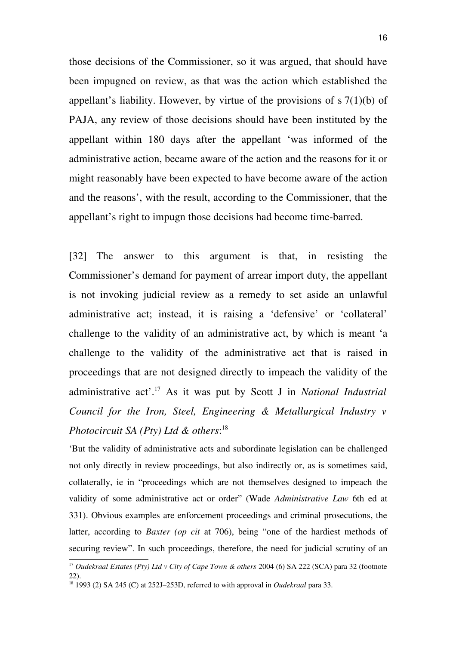those decisions of the Commissioner, so it was argued, that should have been impugned on review, as that was the action which established the appellant's liability. However, by virtue of the provisions of  $s \, 7(1)(b)$  of PAJA, any review of those decisions should have been instituted by the appellant within 180 days after the appellant 'was informed of the administrative action, became aware of the action and the reasons for it or might reasonably have been expected to have become aware of the action and the reasons', with the result, according to the Commissioner, that the appellant's right to impugn those decisions had become time-barred.

[32] The answer to this argument is that, in resisting the Commissioner's demand for payment of arrear import duty, the appellant is not invoking judicial review as a remedy to set aside an unlawful administrative act; instead, it is raising a 'defensive' or 'collateral' challenge to the validity of an administrative act, by which is meant 'a challenge to the validity of the administrative act that is raised in proceedings that are not designed directly to impeach the validity of the administrative act'.[17](#page-15-0) As it was put by Scott J in *National Industrial Council for the Iron, Steel, Engineering & Metallurgical Industry v Photocircuit SA (Pty) Ltd & others*: [18](#page-15-1)

'But the validity of administrative acts and subordinate legislation can be challenged not only directly in review proceedings, but also indirectly or, as is sometimes said, collaterally, ie in "proceedings which are not themselves designed to impeach the validity of some administrative act or order" (Wade *Administrative Law* 6th ed at 331). Obvious examples are enforcement proceedings and criminal prosecutions, the latter, according to *Baxter (op cit at 706)*, being "one of the hardiest methods of securing review". In such proceedings, therefore, the need for judicial scrutiny of an

<span id="page-15-0"></span><sup>17</sup> *Oudekraal Estates (Pty) Ltd v City of Cape Town & others* 2004 (6) SA 222 (SCA) para 32 (footnote 22).

<span id="page-15-1"></span><sup>18</sup> 1993 (2) SA 245 (C) at 252J–253D, referred to with approval in *Oudekraal* para 33.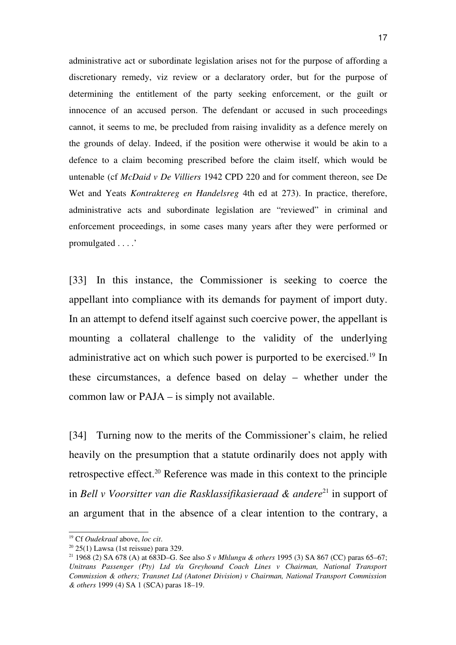administrative act or subordinate legislation arises not for the purpose of affording a discretionary remedy, viz review or a declaratory order, but for the purpose of determining the entitlement of the party seeking enforcement, or the guilt or innocence of an accused person. The defendant or accused in such proceedings cannot, it seems to me, be precluded from raising invalidity as a defence merely on the grounds of delay. Indeed, if the position were otherwise it would be akin to a defence to a claim becoming prescribed before the claim itself, which would be untenable (cf *McDaid v De Villiers* 1942 CPD 220 and for comment thereon, see De Wet and Yeats *Kontraktereg en Handelsreg* 4th ed at 273). In practice, therefore, administrative acts and subordinate legislation are "reviewed" in criminal and enforcement proceedings, in some cases many years after they were performed or promulgated . . . .'

[33] In this instance, the Commissioner is seeking to coerce the appellant into compliance with its demands for payment of import duty. In an attempt to defend itself against such coercive power, the appellant is mounting a collateral challenge to the validity of the underlying administrative act on which such power is purported to be exercised.<sup>[19](#page-16-0)</sup> In these circumstances, a defence based on delay – whether under the common law or PAJA – is simply not available.

[34] Turning now to the merits of the Commissioner's claim, he relied heavily on the presumption that a statute ordinarily does not apply with retrospective effect.[20](#page-16-1) Reference was made in this context to the principle in *Bell v Voorsitter van die Rasklassifikasieraad & andere*<sup>[21](#page-16-2)</sup> in support of an argument that in the absence of a clear intention to the contrary, a

<span id="page-16-0"></span><sup>19</sup> Cf *Oudekraal* above, *loc cit*.

<span id="page-16-1"></span> $20$  25(1) Lawsa (1st reissue) para 329.

<span id="page-16-2"></span><sup>21</sup> 1968 (2) SA 678 (A) at 683D–G. See also *S v Mhlungu & others* 1995 (3) SA 867 (CC) paras 65–67; *Unitrans Passenger (Pty) Ltd t/a Greyhound Coach Lines v Chairman, National Transport Commission & others; Transnet Ltd (Autonet Division) v Chairman, National Transport Commission & others* 1999 (4) SA 1 (SCA) paras 18–19.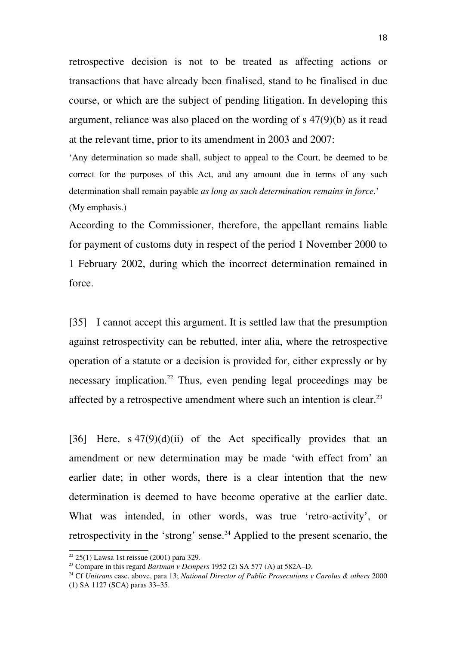retrospective decision is not to be treated as affecting actions or transactions that have already been finalised, stand to be finalised in due course, or which are the subject of pending litigation. In developing this argument, reliance was also placed on the wording of s 47(9)(b) as it read at the relevant time, prior to its amendment in 2003 and 2007:

'Any determination so made shall, subject to appeal to the Court, be deemed to be correct for the purposes of this Act, and any amount due in terms of any such determination shall remain payable *as long as such determination remains in force*.' (My emphasis.)

According to the Commissioner, therefore, the appellant remains liable for payment of customs duty in respect of the period 1 November 2000 to 1 February 2002, during which the incorrect determination remained in force.

[35] I cannot accept this argument. It is settled law that the presumption against retrospectivity can be rebutted, inter alia, where the retrospective operation of a statute or a decision is provided for, either expressly or by necessary implication.<sup>[22](#page-17-0)</sup> Thus, even pending legal proceedings may be affected by a retrospective amendment where such an intention is clear.[23](#page-17-1)

[36] Here,  $s \frac{47(9)}{d}$  (ii) of the Act specifically provides that an amendment or new determination may be made 'with effect from' an earlier date; in other words, there is a clear intention that the new determination is deemed to have become operative at the earlier date. What was intended, in other words, was true 'retro-activity', or retrospectivity in the 'strong' sense.<sup>[24](#page-17-2)</sup> Applied to the present scenario, the

<span id="page-17-0"></span> $22$  25(1) Lawsa 1st reissue (2001) para 329.

<span id="page-17-1"></span><sup>23</sup> Compare in this regard *Bartman v Dempers* 1952 (2) SA 577 (A) at 582A–D.

<span id="page-17-2"></span><sup>24</sup> Cf *Unitrans* case, above, para 13; *National Director of Public Prosecutions v Carolus & others* 2000 (1) SA 1127 (SCA) paras 33–35.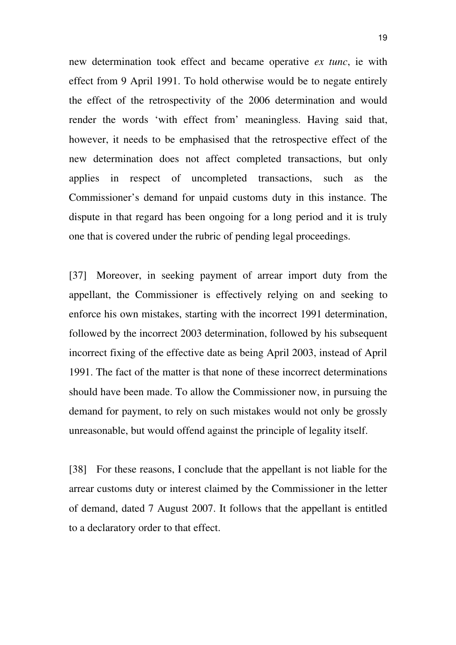new determination took effect and became operative *ex tunc*, ie with effect from 9 April 1991. To hold otherwise would be to negate entirely the effect of the retrospectivity of the 2006 determination and would render the words 'with effect from' meaningless. Having said that, however, it needs to be emphasised that the retrospective effect of the new determination does not affect completed transactions, but only applies in respect of uncompleted transactions, such as the Commissioner's demand for unpaid customs duty in this instance. The dispute in that regard has been ongoing for a long period and it is truly one that is covered under the rubric of pending legal proceedings.

[37] Moreover, in seeking payment of arrear import duty from the appellant, the Commissioner is effectively relying on and seeking to enforce his own mistakes, starting with the incorrect 1991 determination, followed by the incorrect 2003 determination, followed by his subsequent incorrect fixing of the effective date as being April 2003, instead of April 1991. The fact of the matter is that none of these incorrect determinations should have been made. To allow the Commissioner now, in pursuing the demand for payment, to rely on such mistakes would not only be grossly unreasonable, but would offend against the principle of legality itself.

[38] For these reasons, I conclude that the appellant is not liable for the arrear customs duty or interest claimed by the Commissioner in the letter of demand, dated 7 August 2007. It follows that the appellant is entitled to a declaratory order to that effect.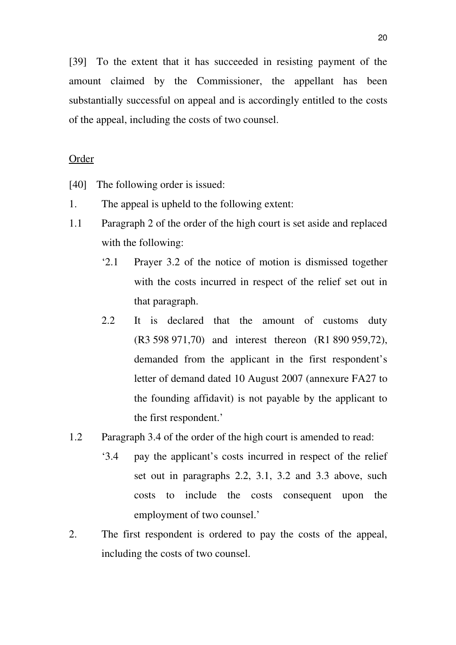[39] To the extent that it has succeeded in resisting payment of the amount claimed by the Commissioner, the appellant has been substantially successful on appeal and is accordingly entitled to the costs of the appeal, including the costs of two counsel.

## Order

- [40] The following order is issued:
- 1. The appeal is upheld to the following extent:
- 1.1 Paragraph 2 of the order of the high court is set aside and replaced with the following:
	- '2.1 Prayer 3.2 of the notice of motion is dismissed together with the costs incurred in respect of the relief set out in that paragraph.
	- 2.2 It is declared that the amount of customs duty (R3 598 971,70) and interest thereon (R1 890 959,72), demanded from the applicant in the first respondent's letter of demand dated 10 August 2007 (annexure FA27 to the founding affidavit) is not payable by the applicant to the first respondent.'
- 1.2 Paragraph 3.4 of the order of the high court is amended to read:
	- '3.4 pay the applicant's costs incurred in respect of the relief set out in paragraphs 2.2, 3.1, 3.2 and 3.3 above, such costs to include the costs consequent upon the employment of two counsel.'
- 2. The first respondent is ordered to pay the costs of the appeal, including the costs of two counsel.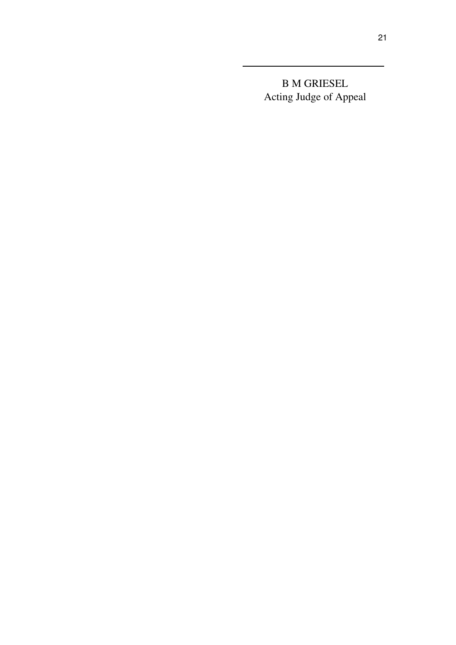B M GRIESEL Acting Judge of Appeal

<u> 1980 - Johann Barbara, martxa amerikan per</u>